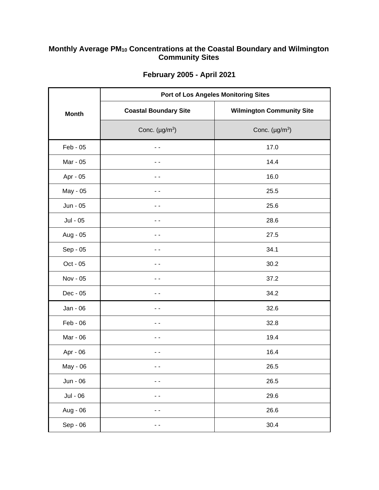## **Monthly Average PM<sup>10</sup> Concentrations at the Coastal Boundary and Wilmington Community Sites**

|              | <b>Port of Los Angeles Monitoring Sites</b> |                                  |
|--------------|---------------------------------------------|----------------------------------|
| <b>Month</b> | <b>Coastal Boundary Site</b>                | <b>Wilmington Community Site</b> |
|              | Conc. $(\mu g/m^3)$                         | Conc. $(\mu g/m^3)$              |
| $Feb - 05$   | - -                                         | 17.0                             |
| Mar - 05     | - -                                         | 14.4                             |
| Apr - 05     | - -                                         | 16.0                             |
| May - 05     | - -                                         | 25.5                             |
| Jun - 05     | - -                                         | 25.6                             |
| Jul - 05     | - -                                         | 28.6                             |
| Aug - 05     |                                             | 27.5                             |
| Sep - 05     |                                             | 34.1                             |
| Oct - 05     |                                             | 30.2                             |
| Nov - 05     |                                             | 37.2                             |
| Dec - 05     |                                             | 34.2                             |
| Jan - 06     |                                             | 32.6                             |
| Feb - 06     |                                             | 32.8                             |
| Mar - 06     |                                             | 19.4                             |
| Apr - 06     |                                             | 16.4                             |
| May - 06     | - -                                         | 26.5                             |
| Jun - 06     | - -                                         | 26.5                             |
| Jul - 06     | - -                                         | 29.6                             |
| Aug - 06     |                                             | 26.6                             |
| Sep - 06     |                                             | 30.4                             |

## **February 2005 - April 2021**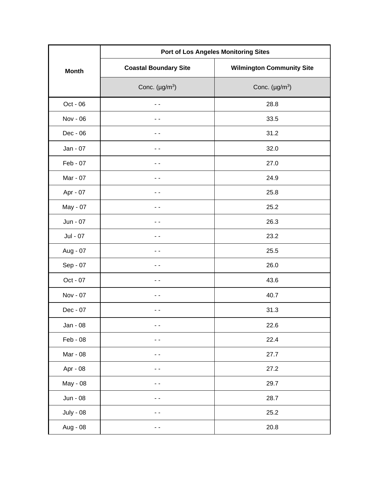|                  | <b>Port of Los Angeles Monitoring Sites</b> |                                  |
|------------------|---------------------------------------------|----------------------------------|
| <b>Month</b>     | <b>Coastal Boundary Site</b>                | <b>Wilmington Community Site</b> |
|                  | Conc. $(\mu g/m^3)$                         | Conc. $(\mu g/m^3)$              |
| Oct - 06         | - -                                         | 28.8                             |
| Nov - 06         | - -                                         | 33.5                             |
| Dec - 06         | - -                                         | 31.2                             |
| Jan - 07         | - -                                         | 32.0                             |
| Feb - 07         | - -                                         | 27.0                             |
| Mar - 07         | - -                                         | 24.9                             |
| Apr - 07         | - -                                         | 25.8                             |
| May - 07         | - -                                         | 25.2                             |
| Jun - 07         | - -                                         | 26.3                             |
| Jul - 07         | - -                                         | 23.2                             |
| Aug - 07         | . .                                         | 25.5                             |
| Sep - 07         | - -                                         | 26.0                             |
| Oct - 07         | - -                                         | 43.6                             |
| Nov - 07         | - -                                         | 40.7                             |
| Dec - 07         |                                             | 31.3                             |
| Jan - 08         |                                             | 22.6                             |
| Feb - 08         |                                             | 22.4                             |
| Mar - 08         | $\overline{\phantom{a}}$                    | 27.7                             |
| Apr - 08         |                                             | 27.2                             |
| May - 08         |                                             | 29.7                             |
| Jun - 08         | - -                                         | 28.7                             |
| <b>July - 08</b> |                                             | 25.2                             |
| Aug - 08         | - -                                         | 20.8                             |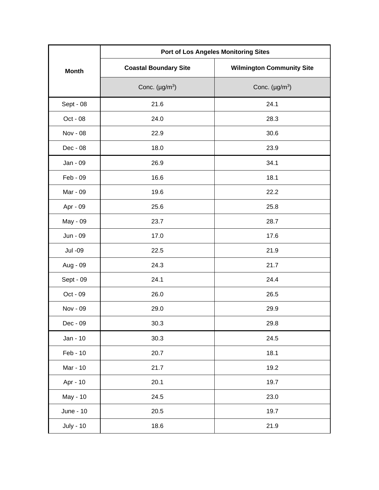|                  | <b>Port of Los Angeles Monitoring Sites</b> |                                  |
|------------------|---------------------------------------------|----------------------------------|
| <b>Month</b>     | <b>Coastal Boundary Site</b>                | <b>Wilmington Community Site</b> |
|                  | Conc. $(\mu g/m^3)$                         | Conc. $(\mu g/m^3)$              |
| Sept - 08        | 21.6                                        | 24.1                             |
| Oct - 08         | 24.0                                        | 28.3                             |
| Nov - 08         | 22.9                                        | 30.6                             |
| Dec - 08         | 18.0                                        | 23.9                             |
| Jan - 09         | 26.9                                        | 34.1                             |
| Feb - 09         | 16.6                                        | 18.1                             |
| Mar - 09         | 19.6                                        | 22.2                             |
| Apr - 09         | 25.6                                        | 25.8                             |
| May - 09         | 23.7                                        | 28.7                             |
| Jun - 09         | 17.0                                        | 17.6                             |
| Jul -09          | 22.5                                        | 21.9                             |
| Aug - 09         | 24.3                                        | 21.7                             |
| Sept - 09        | 24.1                                        | 24.4                             |
| Oct - 09         | 26.0                                        | 26.5                             |
| Nov - 09         | 29.0                                        | 29.9                             |
| Dec - 09         | 30.3                                        | 29.8                             |
| Jan - 10         | 30.3                                        | 24.5                             |
| Feb - 10         | 20.7                                        | 18.1                             |
| Mar - 10         | 21.7                                        | 19.2                             |
| Apr - 10         | 20.1                                        | 19.7                             |
| May - 10         | 24.5                                        | 23.0                             |
| June - 10        | 20.5                                        | 19.7                             |
| <b>July - 10</b> | 18.6                                        | 21.9                             |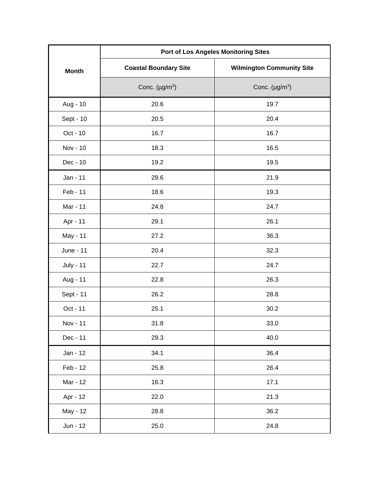|                  | <b>Port of Los Angeles Monitoring Sites</b> |                                  |
|------------------|---------------------------------------------|----------------------------------|
| <b>Month</b>     | <b>Coastal Boundary Site</b>                | <b>Wilmington Community Site</b> |
|                  | Conc. $(\mu g/m^3)$                         | Conc. $(\mu g/m^3)$              |
| Aug - 10         | 20.6                                        | 19.7                             |
| Sept - 10        | 20.5                                        | 20.4                             |
| Oct - 10         | 16.7                                        | 16.7                             |
| Nov - 10         | 18.3                                        | 16.5                             |
| Dec - 10         | 19.2                                        | 19.5                             |
| Jan - 11         | 29.6                                        | 21.9                             |
| Feb - 11         | 18.6                                        | 19.3                             |
| Mar - 11         | 24.8                                        | 24.7                             |
| Apr - 11         | 29.1                                        | 26.1                             |
| May - 11         | 27.2                                        | 36.3                             |
| June - 11        | 20.4                                        | 32.3                             |
| <b>July - 11</b> | 22.7                                        | 24.7                             |
| Aug - 11         | 22.8                                        | 26.3                             |
| Sept - 11        | 26.2                                        | 28.8                             |
| Oct - 11         | 25.1                                        | 30.2                             |
| Nov - 11         | 31.8                                        | 33.0                             |
| Dec - 11         | 29.3                                        | 40.0                             |
| Jan - 12         | 34.1                                        | 36.4                             |
| Feb - 12         | 25.8                                        | 26.4                             |
| Mar - 12         | 16.3                                        | 17.1                             |
| Apr - 12         | 22.0                                        | 21.3                             |
| May - 12         | 28.8                                        | 36.2                             |
| Jun - 12         | 25.0                                        | 24.8                             |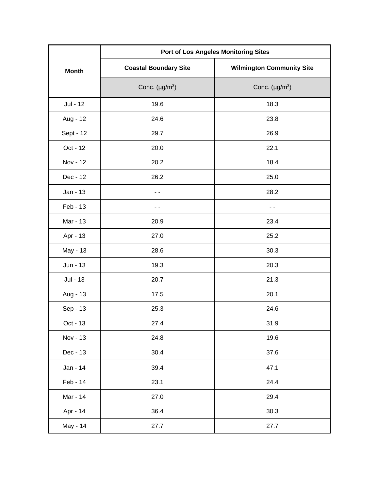|              | <b>Port of Los Angeles Monitoring Sites</b> |                                  |
|--------------|---------------------------------------------|----------------------------------|
| <b>Month</b> | <b>Coastal Boundary Site</b>                | <b>Wilmington Community Site</b> |
|              | Conc. $(\mu g/m^3)$                         | Conc. $(\mu g/m^3)$              |
| Jul - 12     | 19.6                                        | 18.3                             |
| Aug - 12     | 24.6                                        | 23.8                             |
| Sept - 12    | 29.7                                        | 26.9                             |
| Oct - 12     | 20.0                                        | 22.1                             |
| Nov - 12     | 20.2                                        | 18.4                             |
| Dec - 12     | 26.2                                        | 25.0                             |
| Jan - 13     | ۰.                                          | 28.2                             |
| Feb - 13     | - -                                         | $ -$                             |
| Mar - 13     | 20.9                                        | 23.4                             |
| Apr - 13     | 27.0                                        | 25.2                             |
| May - 13     | 28.6                                        | 30.3                             |
| Jun - 13     | 19.3                                        | 20.3                             |
| Jul - 13     | 20.7                                        | 21.3                             |
| Aug - 13     | 17.5                                        | 20.1                             |
| Sep - 13     | 25.3                                        | 24.6                             |
| Oct - 13     | 27.4                                        | 31.9                             |
| Nov - 13     | 24.8                                        | 19.6                             |
| Dec - 13     | 30.4                                        | 37.6                             |
| Jan - 14     | 39.4                                        | 47.1                             |
| Feb - 14     | 23.1                                        | 24.4                             |
| Mar - 14     | 27.0                                        | 29.4                             |
| Apr - 14     | 36.4                                        | 30.3                             |
| May - 14     | 27.7                                        | 27.7                             |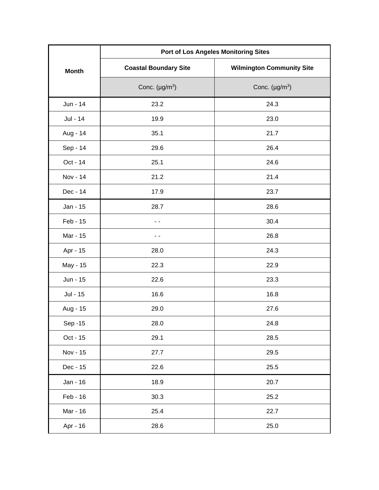|              | <b>Port of Los Angeles Monitoring Sites</b> |                                  |
|--------------|---------------------------------------------|----------------------------------|
| <b>Month</b> | <b>Coastal Boundary Site</b>                | <b>Wilmington Community Site</b> |
|              | Conc. $(\mu g/m^3)$                         | Conc. $(\mu g/m^3)$              |
| Jun - 14     | 23.2                                        | 24.3                             |
| Jul - 14     | 19.9                                        | 23.0                             |
| Aug - 14     | 35.1                                        | 21.7                             |
| Sep - 14     | 29.6                                        | 26.4                             |
| Oct - 14     | 25.1                                        | 24.6                             |
| Nov - 14     | 21.2                                        | 21.4                             |
| Dec - 14     | 17.9                                        | 23.7                             |
| Jan - 15     | 28.7                                        | 28.6                             |
| Feb - 15     | ۰.                                          | 30.4                             |
| Mar - 15     | . .                                         | 26.8                             |
| Apr - 15     | 28.0                                        | 24.3                             |
| May - 15     | 22.3                                        | 22.9                             |
| Jun - 15     | 22.6                                        | 23.3                             |
| Jul - 15     | 16.6                                        | 16.8                             |
| Aug - 15     | 29.0                                        | 27.6                             |
| Sep -15      | 28.0                                        | 24.8                             |
| Oct - 15     | 29.1                                        | 28.5                             |
| Nov - 15     | 27.7                                        | 29.5                             |
| Dec - 15     | 22.6                                        | 25.5                             |
| Jan - 16     | 18.9                                        | 20.7                             |
| Feb - 16     | 30.3                                        | 25.2                             |
| Mar - 16     | 25.4                                        | 22.7                             |
| Apr - 16     | 28.6                                        | 25.0                             |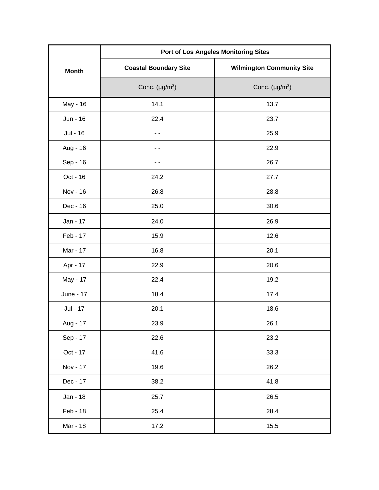|              | <b>Port of Los Angeles Monitoring Sites</b> |                                  |
|--------------|---------------------------------------------|----------------------------------|
| <b>Month</b> | <b>Coastal Boundary Site</b>                | <b>Wilmington Community Site</b> |
|              | Conc. $(\mu g/m^3)$                         | Conc. $(\mu g/m^3)$              |
| May - 16     | 14.1                                        | 13.7                             |
| Jun - 16     | 22.4                                        | 23.7                             |
| Jul - 16     | - -                                         | 25.9                             |
| Aug - 16     | . .                                         | 22.9                             |
| Sep - 16     | - -                                         | 26.7                             |
| Oct - 16     | 24.2                                        | 27.7                             |
| Nov - 16     | 26.8                                        | 28.8                             |
| Dec - 16     | 25.0                                        | 30.6                             |
| Jan - 17     | 24.0                                        | 26.9                             |
| Feb - 17     | 15.9                                        | 12.6                             |
| Mar - 17     | 16.8                                        | 20.1                             |
| Apr - 17     | 22.9                                        | 20.6                             |
| May - 17     | 22.4                                        | 19.2                             |
| June - 17    | 18.4                                        | 17.4                             |
| Jul - 17     | 20.1                                        | 18.6                             |
| Aug - 17     | 23.9                                        | 26.1                             |
| Sep - 17     | 22.6                                        | 23.2                             |
| Oct - 17     | 41.6                                        | 33.3                             |
| Nov - 17     | 19.6                                        | 26.2                             |
| Dec - 17     | 38.2                                        | 41.8                             |
| Jan - 18     | 25.7                                        | 26.5                             |
| Feb - 18     | 25.4                                        | 28.4                             |
| Mar - 18     | 17.2                                        | 15.5                             |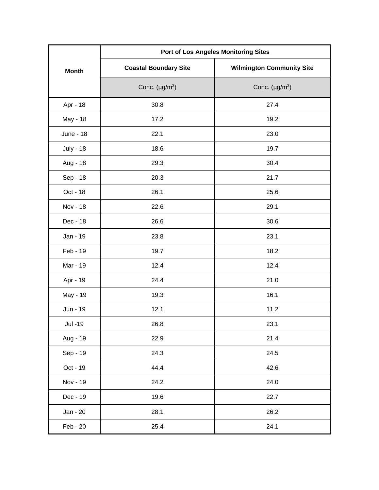|                  | <b>Port of Los Angeles Monitoring Sites</b> |                                  |
|------------------|---------------------------------------------|----------------------------------|
| <b>Month</b>     | <b>Coastal Boundary Site</b>                | <b>Wilmington Community Site</b> |
|                  | Conc. $(\mu g/m^3)$                         | Conc. $(\mu g/m^3)$              |
| Apr - 18         | 30.8                                        | 27.4                             |
| May - 18         | 17.2                                        | 19.2                             |
| June - 18        | 22.1                                        | 23.0                             |
| <b>July - 18</b> | 18.6                                        | 19.7                             |
| Aug - 18         | 29.3                                        | 30.4                             |
| Sep - 18         | 20.3                                        | 21.7                             |
| Oct - 18         | 26.1                                        | 25.6                             |
| Nov - 18         | 22.6                                        | 29.1                             |
| Dec - 18         | 26.6                                        | 30.6                             |
| Jan - 19         | 23.8                                        | 23.1                             |
| Feb - 19         | 19.7                                        | 18.2                             |
| Mar - 19         | 12.4                                        | 12.4                             |
| Apr - 19         | 24.4                                        | 21.0                             |
| May - 19         | 19.3                                        | 16.1                             |
| Jun - 19         | 12.1                                        | 11.2                             |
| Jul -19          | 26.8                                        | 23.1                             |
| Aug - 19         | 22.9                                        | 21.4                             |
| Sep - 19         | 24.3                                        | 24.5                             |
| Oct - 19         | 44.4                                        | 42.6                             |
| Nov - 19         | 24.2                                        | 24.0                             |
| Dec - 19         | 19.6                                        | 22.7                             |
| Jan - 20         | 28.1                                        | 26.2                             |
| Feb - 20         | 25.4                                        | 24.1                             |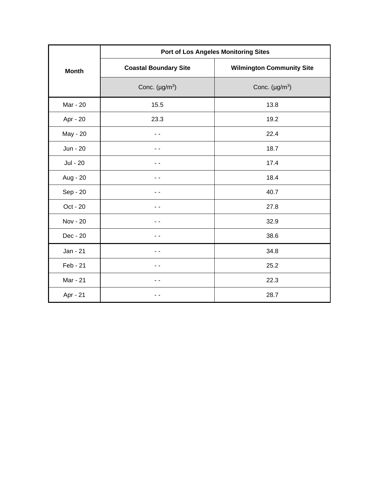| Port of Los Angeles Monitoring Sites |                              |                                  |
|--------------------------------------|------------------------------|----------------------------------|
| <b>Month</b>                         | <b>Coastal Boundary Site</b> | <b>Wilmington Community Site</b> |
|                                      | Conc. $(\mu g/m^3)$          | Conc. $(\mu g/m^3)$              |
| Mar - 20                             | 15.5                         | 13.8                             |
| Apr - 20                             | 23.3                         | 19.2                             |
| May - 20                             |                              | 22.4                             |
| Jun - 20                             |                              | 18.7                             |
| Jul - 20                             |                              | 17.4                             |
| Aug - 20                             |                              | 18.4                             |
| Sep - 20                             |                              | 40.7                             |
| Oct - 20                             |                              | 27.8                             |
| Nov - 20                             |                              | 32.9                             |
| Dec - 20                             |                              | 38.6                             |
| Jan - 21                             | - -                          | 34.8                             |
| Feb - 21                             | - -                          | 25.2                             |
| Mar - 21                             |                              | 22.3                             |
| Apr - 21                             |                              | 28.7                             |